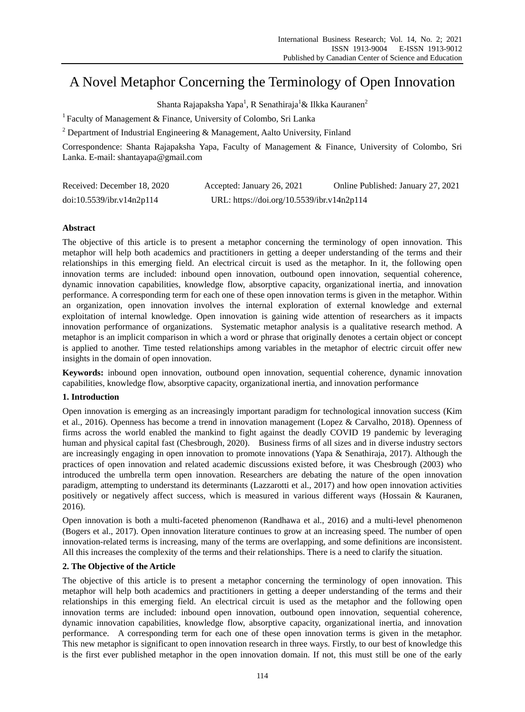# A Novel Metaphor Concerning the Terminology of Open Innovation

Shanta Rajapaksha Yapa<sup>1</sup>, R Senathiraja<sup>1</sup>& Ilkka Kauranen<sup>2</sup>

<sup>1</sup> Faculty of Management & Finance, University of Colombo, Sri Lanka

<sup>2</sup> Department of Industrial Engineering & Management, Aalto University, Finland

Correspondence: Shanta Rajapaksha Yapa, Faculty of Management & Finance, University of Colombo, Sri Lanka. E-mail: shantayapa@gmail.com

| Received: December 18, 2020 | Accepted: January 26, 2021                 | Online Published: January 27, 2021 |
|-----------------------------|--------------------------------------------|------------------------------------|
| doi:10.5539/ibr.v14n2p114   | URL: https://doi.org/10.5539/ibr.v14n2p114 |                                    |

# **Abstract**

The objective of this article is to present a metaphor concerning the terminology of open innovation. This metaphor will help both academics and practitioners in getting a deeper understanding of the terms and their relationships in this emerging field. An electrical circuit is used as the metaphor. In it, the following open innovation terms are included: inbound open innovation, outbound open innovation, sequential coherence, dynamic innovation capabilities, knowledge flow, absorptive capacity, organizational inertia, and innovation performance. A corresponding term for each one of these open innovation terms is given in the metaphor. Within an organization, open innovation involves the internal exploration of external knowledge and external exploitation of internal knowledge. Open innovation is gaining wide attention of researchers as it impacts innovation performance of organizations. Systematic metaphor analysis is a qualitative research method. A metaphor is an implicit comparison in which a word or phrase that originally denotes a certain object or concept is applied to another. Time tested relationships among variables in the metaphor of electric circuit offer new insights in the domain of open innovation.

**Keywords:** inbound open innovation, outbound open innovation, sequential coherence, dynamic innovation capabilities, knowledge flow, absorptive capacity, organizational inertia, and innovation performance

# **1. Introduction**

Open innovation is emerging as an increasingly important paradigm for technological innovation success (Kim et al., 2016). Openness has become a trend in innovation management (Lopez & Carvalho, 2018). Openness of firms across the world enabled the mankind to fight against the deadly COVID 19 pandemic by leveraging human and physical capital fast (Chesbrough, 2020). Business firms of all sizes and in diverse industry sectors are increasingly engaging in open innovation to promote innovations (Yapa & Senathiraja, 2017). Although the practices of open innovation and related academic discussions existed before, it was Chesbrough (2003) who introduced the umbrella term open innovation. Researchers are debating the nature of the open innovation paradigm, attempting to understand its determinants (Lazzarotti et al., 2017) and how open innovation activities positively or negatively affect success, which is measured in various different ways (Hossain & Kauranen, 2016).

Open innovation is both a multi-faceted phenomenon (Randhawa et al., 2016) and a multi-level phenomenon (Bogers et al., 2017). Open innovation literature continues to grow at an increasing speed. The number of open innovation-related terms is increasing, many of the terms are overlapping, and some definitions are inconsistent. All this increases the complexity of the terms and their relationships. There is a need to clarify the situation.

## **2. The Objective of the Article**

The objective of this article is to present a metaphor concerning the terminology of open innovation. This metaphor will help both academics and practitioners in getting a deeper understanding of the terms and their relationships in this emerging field. An electrical circuit is used as the metaphor and the following open innovation terms are included: inbound open innovation, outbound open innovation, sequential coherence, dynamic innovation capabilities, knowledge flow, absorptive capacity, organizational inertia, and innovation performance. A corresponding term for each one of these open innovation terms is given in the metaphor. This new metaphor is significant to open innovation research in three ways. Firstly, to our best of knowledge this is the first ever published metaphor in the open innovation domain. If not, this must still be one of the early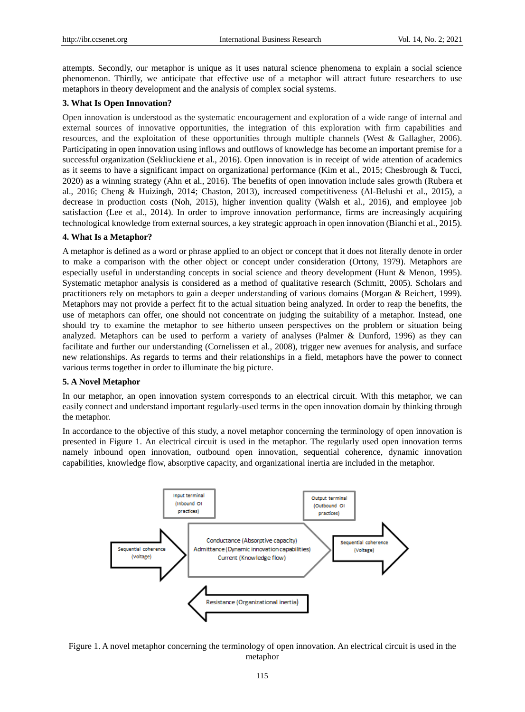attempts. Secondly, our metaphor is unique as it uses natural science phenomena to explain a social science phenomenon. Thirdly, we anticipate that effective use of a metaphor will attract future researchers to use metaphors in theory development and the analysis of complex social systems.

## **3. What Is Open Innovation?**

Open innovation is understood as the systematic encouragement and exploration of a wide range of internal and external sources of innovative opportunities, the integration of this exploration with firm capabilities and resources, and the exploitation of these opportunities through multiple channels (West & Gallagher, 2006). Participating in open innovation using inflows and outflows of knowledge has become an important premise for a successful organization (Sekliuckiene et al., 2016). Open innovation is in receipt of wide attention of academics as it seems to have a significant impact on organizational performance (Kim et al., 2015; Chesbrough & Tucci, 2020) as a winning strategy (Ahn et al., 2016). The benefits of open innovation include sales growth (Rubera et al., 2016; Cheng & Huizingh, 2014; Chaston, 2013), increased competitiveness (Al-Belushi et al., 2015), a decrease in production costs (Noh, 2015), higher invention quality (Walsh et al., 2016), and employee job satisfaction (Lee et al., 2014). In order to improve innovation performance, firms are increasingly acquiring technological knowledge from external sources, a key strategic approach in open innovation (Bianchi et al., 2015).

# **4. What Is a Metaphor?**

A metaphor is defined as a word or phrase applied to an object or concept that it does not literally denote in order to make a comparison with the other object or concept under consideration (Ortony, 1979). Metaphors are especially useful in understanding concepts in social science and theory development (Hunt & Menon, 1995). Systematic metaphor analysis is considered as a method of qualitative research (Schmitt, 2005). Scholars and practitioners rely on metaphors to gain a deeper understanding of various domains (Morgan & Reichert, 1999). Metaphors may not provide a perfect fit to the actual situation being analyzed. In order to reap the benefits, the use of metaphors can offer, one should not concentrate on judging the suitability of a metaphor. Instead, one should try to examine the metaphor to see hitherto unseen perspectives on the problem or situation being analyzed. Metaphors can be used to perform a variety of analyses (Palmer & Dunford, 1996) as they can facilitate and further our understanding (Cornelissen et al., 2008), trigger new avenues for analysis, and surface new relationships. As regards to terms and their relationships in a field, metaphors have the power to connect various terms together in order to illuminate the big picture.

#### **5. A Novel Metaphor**

In our metaphor, an open innovation system corresponds to an electrical circuit. With this metaphor, we can easily connect and understand important regularly-used terms in the open innovation domain by thinking through the metaphor.

In accordance to the objective of this study, a novel metaphor concerning the terminology of open innovation is presented in Figure 1. An electrical circuit is used in the metaphor. The regularly used open innovation terms namely inbound open innovation, outbound open innovation, sequential coherence, dynamic innovation capabilities, knowledge flow, absorptive capacity, and organizational inertia are included in the metaphor.



Figure 1. A novel metaphor concerning the terminology of open innovation. An electrical circuit is used in the metaphor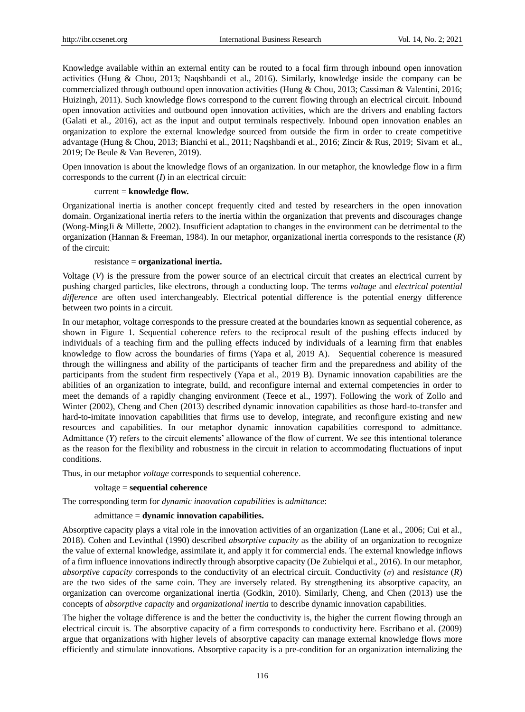Knowledge available within an external entity can be routed to a focal firm through inbound open innovation activities (Hung & Chou, 2013; Naqshbandi et al., 2016). Similarly, knowledge inside the company can be commercialized through outbound open innovation activities (Hung & Chou, 2013; Cassiman & Valentini, 2016; Huizingh, 2011). Such knowledge flows correspond to the current flowing through an electrical circuit. Inbound open innovation activities and outbound open innovation activities, which are the drivers and enabling factors (Galati et al., 2016), act as the input and output terminals respectively. Inbound open innovation enables an organization to explore the external knowledge sourced from outside the firm in order to create competitive advantage (Hung & Chou, 2013; Bianchi et al., 2011; Naqshbandi et al., 2016; Zincir & Rus, 2019; Sivam et al., 2019; De Beule & Van Beveren, 2019).

Open innovation is about the knowledge flows of an organization. In our metaphor, the knowledge flow in a firm corresponds to the current (*I*) in an electrical circuit:

#### current = **knowledge flow.**

Organizational inertia is another concept frequently cited and tested by researchers in the open innovation domain. Organizational inertia refers to the inertia within the organization that prevents and discourages change (Wong-MingJi & Millette, 2002). Insufficient adaptation to changes in the environment can be detrimental to the organization (Hannan & Freeman, 1984). In our metaphor, organizational inertia corresponds to the resistance (*R*) of the circuit:

#### resistance = **organizational inertia.**

Voltage  $(V)$  is the pressure from the power source of an electrical circuit that creates an electrical current by pushing charged particles, like electrons, through a conducting loop. The terms *voltage* and *electrical potential difference* are often used interchangeably. Electrical potential difference is the potential energy difference between two points in a circuit.

In our metaphor, voltage corresponds to the pressure created at the boundaries known as sequential coherence, as shown in Figure 1. Sequential coherence refers to the reciprocal result of the pushing effects induced by individuals of a teaching firm and the pulling effects induced by individuals of a learning firm that enables knowledge to flow across the boundaries of firms (Yapa et al, 2019 A). Sequential coherence is measured through the willingness and ability of the participants of teacher firm and the preparedness and ability of the participants from the student firm respectively (Yapa et al., 2019 B). Dynamic innovation capabilities are the abilities of an organization to integrate, build, and reconfigure internal and external competencies in order to meet the demands of a rapidly changing environment (Teece et al., 1997). Following the work of Zollo and Winter (2002), Cheng and Chen (2013) described dynamic innovation capabilities as those hard-to-transfer and hard-to-imitate innovation capabilities that firms use to develop, integrate, and reconfigure existing and new resources and capabilities. In our metaphor dynamic innovation capabilities correspond to admittance. Admittance (*Y*) refers to the circuit elements' allowance of the flow of current. We see this intentional tolerance as the reason for the flexibility and robustness in the circuit in relation to accommodating fluctuations of input conditions.

Thus, in our metaphor *voltage* corresponds to sequential coherence.

#### voltage = **sequential coherence**

The corresponding term for *dynamic innovation capabilities* is *admittance*:

#### admittance = **dynamic innovation capabilities.**

Absorptive capacity plays a vital role in the innovation activities of an organization (Lane et al., 2006; Cui et al., 2018). Cohen and Levinthal (1990) described *absorptive capacity* as the ability of an organization to recognize the value of external knowledge, assimilate it, and apply it for commercial ends. The external knowledge inflows of a firm influence innovations indirectly through absorptive capacity (De Zubielqui et al., 2016). In our metaphor, *absorptive capacity* corresponds to the conductivity of an electrical circuit. Conductivity (*σ*) and *resistance* (*R*) are the two sides of the same coin. They are inversely related. By strengthening its absorptive capacity, an organization can overcome organizational inertia (Godkin, 2010). Similarly, Cheng, and Chen (2013) use the concepts of *absorptive capacity* and *organizational inertia* to describe dynamic innovation capabilities.

The higher the voltage difference is and the better the conductivity is, the higher the current flowing through an electrical circuit is. The absorptive capacity of a firm corresponds to conductivity here. Escribano et al. (2009) argue that organizations with higher levels of absorptive capacity can manage external knowledge flows more efficiently and stimulate innovations. Absorptive capacity is a pre-condition for an organization internalizing the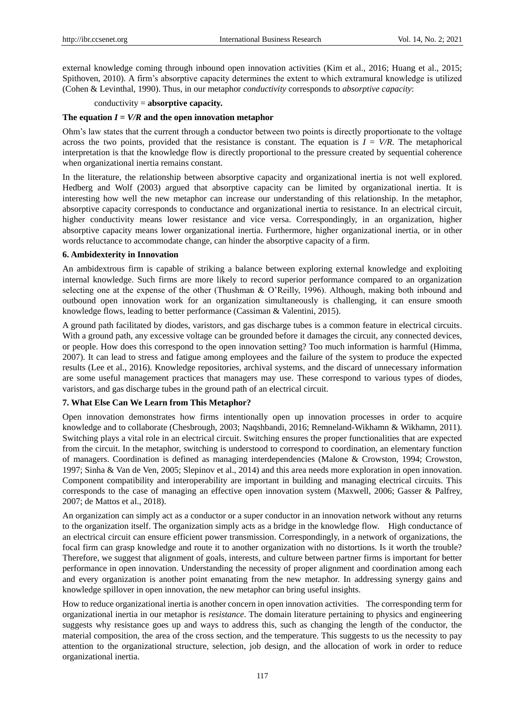external knowledge coming through inbound open innovation activities (Kim et al., 2016; Huang et al., 2015; Spithoven, 2010). A firm's absorptive capacity determines the extent to which extramural knowledge is utilized (Cohen & Levinthal, 1990). Thus, in our metaphor *conductivity* corresponds to *absorptive capacity*:

conductivity = **absorptive capacity.**

## The equation  $I = V/R$  and the open innovation metaphor

Ohm's law states that the current through a conductor between two points is directly proportionate to the voltage across the two points, provided that the resistance is constant. The equation is  $I = V/R$ . The metaphorical interpretation is that the knowledge flow is directly proportional to the pressure created by sequential coherence when organizational inertia remains constant.

In the literature, the relationship between absorptive capacity and organizational inertia is not well explored. Hedberg and Wolf (2003) argued that absorptive capacity can be limited by organizational inertia. It is interesting how well the new metaphor can increase our understanding of this relationship. In the metaphor, absorptive capacity corresponds to conductance and organizational inertia to resistance. In an electrical circuit, higher conductivity means lower resistance and vice versa. Correspondingly, in an organization, higher absorptive capacity means lower organizational inertia. Furthermore, higher organizational inertia, or in other words reluctance to accommodate change, can hinder the absorptive capacity of a firm.

# **6. Ambidexterity in Innovation**

An ambidextrous firm is capable of striking a balance between exploring external knowledge and exploiting internal knowledge. Such firms are more likely to record superior performance compared to an organization selecting one at the expense of the other (Thushman & O'Reilly, 1996). Although, making both inbound and outbound open innovation work for an organization simultaneously is challenging, it can ensure smooth knowledge flows, leading to better performance (Cassiman & Valentini, 2015).

A ground path facilitated by diodes, varistors, and gas discharge tubes is a common feature in electrical circuits. With a ground path, any excessive voltage can be grounded before it damages the circuit, any connected devices, or people. How does this correspond to the open innovation setting? Too much information is harmful (Himma, 2007). It can lead to stress and fatigue among employees and the failure of the system to produce the expected results (Lee et al., 2016). Knowledge repositories, archival systems, and the discard of unnecessary information are some useful management practices that managers may use. These correspond to various types of diodes, varistors, and gas discharge tubes in the ground path of an electrical circuit.

## **7. What Else Can We Learn from This Metaphor?**

Open innovation demonstrates how firms intentionally open up innovation processes in order to acquire knowledge and to collaborate (Chesbrough, 2003; Naqshbandi, 2016; Remneland-Wikhamn & Wikhamn, 2011). Switching plays a vital role in an electrical circuit. Switching ensures the proper functionalities that are expected from the circuit. In the metaphor, switching is understood to correspond to coordination, an elementary function of managers. Coordination is defined as managing interdependencies (Malone & Crowston, 1994; Crowston, 1997; Sinha & Van de Ven, 2005; Slepinov et al., 2014) and this area needs more exploration in open innovation. Component compatibility and interoperability are important in building and managing electrical circuits. This corresponds to the case of managing an effective open innovation system (Maxwell, 2006; Gasser & Palfrey, 2007; de Mattos et al., 2018).

An organization can simply act as a conductor or a super conductor in an innovation network without any returns to the organization itself. The organization simply acts as a bridge in the knowledge flow. High conductance of an electrical circuit can ensure efficient power transmission. Correspondingly, in a network of organizations, the focal firm can grasp knowledge and route it to another organization with no distortions. Is it worth the trouble? Therefore, we suggest that alignment of goals, interests, and culture between partner firms is important for better performance in open innovation. Understanding the necessity of proper alignment and coordination among each and every organization is another point emanating from the new metaphor. In addressing synergy gains and knowledge spillover in open innovation, the new metaphor can bring useful insights.

How to reduce organizational inertia is another concern in open innovation activities. The corresponding term for organizational inertia in our metaphor is *resistance*. The domain literature pertaining to physics and engineering suggests why resistance goes up and ways to address this, such as changing the length of the conductor, the material composition, the area of the cross section, and the temperature. This suggests to us the necessity to pay attention to the organizational structure, selection, job design, and the allocation of work in order to reduce organizational inertia.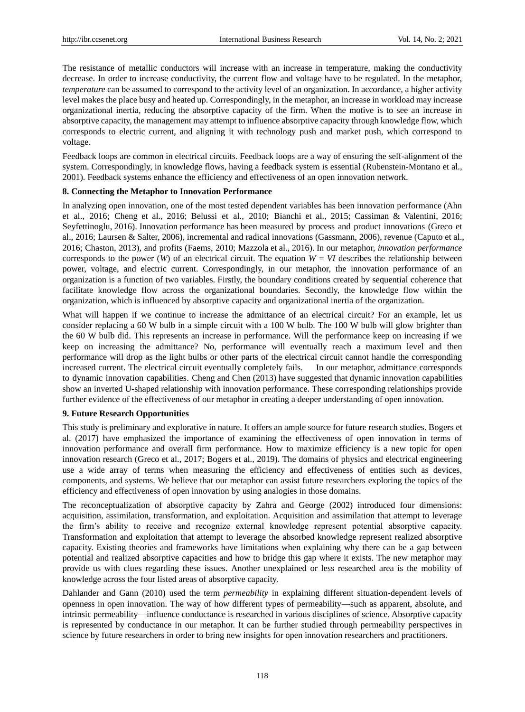The resistance of metallic conductors will increase with an increase in temperature, making the conductivity decrease. In order to increase conductivity, the current flow and voltage have to be regulated. In the metaphor, *temperature* can be assumed to correspond to the activity level of an organization. In accordance, a higher activity level makes the place busy and heated up. Correspondingly, in the metaphor, an increase in workload may increase organizational inertia, reducing the absorptive capacity of the firm. When the motive is to see an increase in absorptive capacity, the management may attempt to influence absorptive capacity through knowledge flow, which corresponds to electric current, and aligning it with technology push and market push, which correspond to voltage.

Feedback loops are common in electrical circuits. Feedback loops are a way of ensuring the self-alignment of the system. Correspondingly, in knowledge flows, having a feedback system is essential (Rubenstein-Montano et al., 2001). Feedback systems enhance the efficiency and effectiveness of an open innovation network.

# **8. Connecting the Metaphor to Innovation Performance**

In analyzing open innovation, one of the most tested dependent variables has been innovation performance (Ahn et al., 2016; Cheng et al., 2016; Belussi et al., 2010; Bianchi et al., 2015; Cassiman & Valentini, 2016; Seyfettinoglu, 2016). Innovation performance has been measured by process and product innovations (Greco et al., 2016; Laursen & Salter, 2006), incremental and radical innovations (Gassmann, 2006), revenue (Caputo et al., 2016; Chaston, 2013), and profits (Faems, 2010; Mazzola et al., 2016). In our metaphor, *innovation performance* corresponds to the power (*W*) of an electrical circuit. The equation  $W = VI$  describes the relationship between power, voltage, and electric current. Correspondingly, in our metaphor, the innovation performance of an organization is a function of two variables. Firstly, the boundary conditions created by sequential coherence that facilitate knowledge flow across the organizational boundaries. Secondly, the knowledge flow within the organization, which is influenced by absorptive capacity and organizational inertia of the organization.

What will happen if we continue to increase the admittance of an electrical circuit? For an example, let us consider replacing a 60 W bulb in a simple circuit with a 100 W bulb. The 100 W bulb will glow brighter than the 60 W bulb did. This represents an increase in performance. Will the performance keep on increasing if we keep on increasing the admittance? No, performance will eventually reach a maximum level and then performance will drop as the light bulbs or other parts of the electrical circuit cannot handle the corresponding increased current. The electrical circuit eventually completely fails. In our metaphor, admittance corresponds to dynamic innovation capabilities. Cheng and Chen (2013) have suggested that dynamic innovation capabilities show an inverted U-shaped relationship with innovation performance. These corresponding relationships provide further evidence of the effectiveness of our metaphor in creating a deeper understanding of open innovation.

#### **9. Future Research Opportunities**

This study is preliminary and explorative in nature. It offers an ample source for future research studies. Bogers et al. (2017) have emphasized the importance of examining the effectiveness of open innovation in terms of innovation performance and overall firm performance. How to maximize efficiency is a new topic for open innovation research (Greco et al., 2017; Bogers et al., 2019). The domains of physics and electrical engineering use a wide array of terms when measuring the efficiency and effectiveness of entities such as devices, components, and systems. We believe that our metaphor can assist future researchers exploring the topics of the efficiency and effectiveness of open innovation by using analogies in those domains.

The reconceptualization of absorptive capacity by Zahra and George (2002) introduced four dimensions: acquisition, assimilation, transformation, and exploitation. Acquisition and assimilation that attempt to leverage the firm's ability to receive and recognize external knowledge represent potential absorptive capacity. Transformation and exploitation that attempt to leverage the absorbed knowledge represent realized absorptive capacity. Existing theories and frameworks have limitations when explaining why there can be a gap between potential and realized absorptive capacities and how to bridge this gap where it exists. The new metaphor may provide us with clues regarding these issues. Another unexplained or less researched area is the mobility of knowledge across the four listed areas of absorptive capacity.

Dahlander and Gann (2010) used the term *permeability* in explaining different situation-dependent levels of openness in open innovation. The way of how different types of permeability—such as apparent, absolute, and intrinsic permeability—influence conductance is researched in various disciplines of science. Absorptive capacity is represented by conductance in our metaphor. It can be further studied through permeability perspectives in science by future researchers in order to bring new insights for open innovation researchers and practitioners.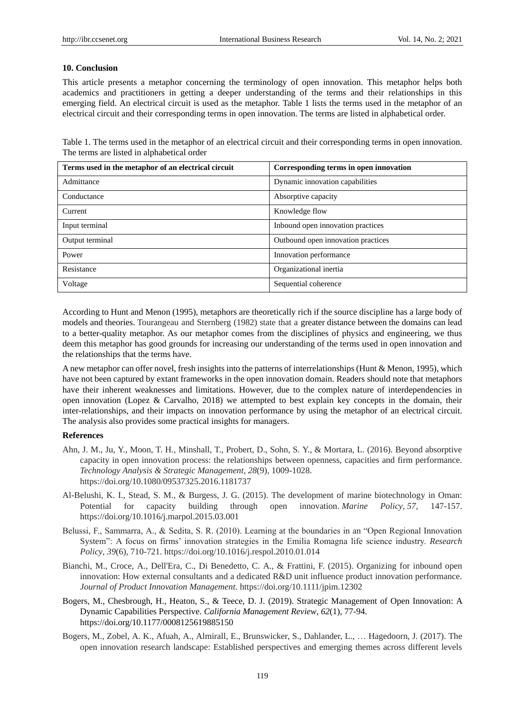#### **10. Conclusion**

This article presents a metaphor concerning the terminology of open innovation. This metaphor helps both academics and practitioners in getting a deeper understanding of the terms and their relationships in this emerging field. An electrical circuit is used as the metaphor. Table 1 lists the terms used in the metaphor of an electrical circuit and their corresponding terms in open innovation. The terms are listed in alphabetical order.

Table 1. The terms used in the metaphor of an electrical circuit and their corresponding terms in open innovation. The terms are listed in alphabetical order

| Terms used in the metaphor of an electrical circuit | Corresponding terms in open innovation |
|-----------------------------------------------------|----------------------------------------|
| Admittance                                          | Dynamic innovation capabilities        |
| Conductance                                         | Absorptive capacity                    |
| Current                                             | Knowledge flow                         |
| Input terminal                                      | Inbound open innovation practices      |
| Output terminal                                     | Outbound open innovation practices     |
| Power                                               | Innovation performance                 |
| Resistance                                          | Organizational inertia                 |
| Voltage                                             | Sequential coherence                   |

According to Hunt and Menon (1995), metaphors are theoretically rich if the source discipline has a large body of models and theories. Tourangeau and Sternberg (1982) state that a greater distance between the domains can lead to a better-quality metaphor. As our metaphor comes from the disciplines of physics and engineering, we thus deem this metaphor has good grounds for increasing our understanding of the terms used in open innovation and the relationships that the terms have.

A new metaphor can offer novel, fresh insights into the patterns of interrelationships (Hunt & Menon, 1995), which have not been captured by extant frameworks in the open innovation domain. Readers should note that metaphors have their inherent weaknesses and limitations. However, due to the complex nature of interdependencies in open innovation (Lopez & Carvalho, 2018) we attempted to best explain key concepts in the domain, their inter-relationships, and their impacts on innovation performance by using the metaphor of an electrical circuit. The analysis also provides some practical insights for managers.

#### **References**

- Ahn, J. M., Ju, Y., Moon, T. H., Minshall, T., Probert, D., Sohn, S. Y., & Mortara, L. (2016). Beyond absorptive capacity in open innovation process: the relationships between openness, capacities and firm performance. *Technology Analysis & Strategic Management*, *28*(9), 1009-1028. https://doi.org/10.1080/09537325.2016.1181737
- Al-Belushi, K. I., Stead, S. M., & Burgess, J. G. (2015). The development of marine biotechnology in Oman: Potential for capacity building through open innovation. *Marine Policy*, *57*, 147-157. https://doi.org/10.1016/j.marpol.2015.03.001
- Belussi, F., Sammarra, A., & Sedita, S. R. (2010). Learning at the boundaries in an "Open Regional Innovation System": A focus on firms' innovation strategies in the Emilia Romagna life science industry. *Research Policy*, *39*(6), 710-721. https://doi.org/10.1016/j.respol.2010.01.014
- Bianchi, M., Croce, A., Dell'Era, C., Di Benedetto, C. A., & Frattini, F. (2015). Organizing for inbound open innovation: How external consultants and a dedicated R&D unit influence product innovation performance. *Journal of Product Innovation Management*. https://doi.org/10.1111/jpim.12302
- Bogers, M., Chesbrough, H., Heaton, S., & Teece, D. J. (2019). Strategic Management of Open Innovation: A Dynamic Capabilities Perspective. *California Management Review*, *62*(1), 77-94. https://doi.org/10.1177/0008125619885150
- Bogers, M., Zobel, A. K., Afuah, A., Almirall, E., Brunswicker, S., Dahlander, L., … Hagedoorn, J. (2017). The open innovation research landscape: Established perspectives and emerging themes across different levels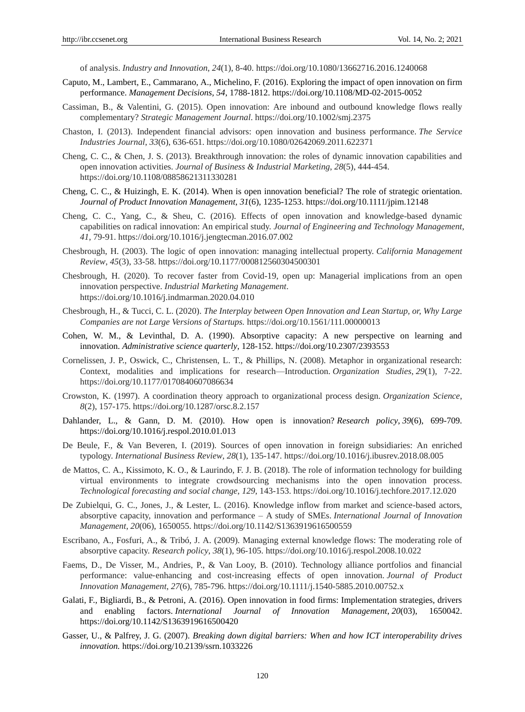of analysis. *Industry and Innovation*, *24*(1), 8-40. https://doi.org/10.1080/13662716.2016.1240068

- Caputo, M., Lambert, E., Cammarano, A., Michelino, F. (2016). Exploring the impact of open innovation on firm performance. *Management Decisions, 54*, 1788-1812. https://doi.org/10.1108/MD-02-2015-0052
- Cassiman, B., & Valentini, G. (2015). Open innovation: Are inbound and outbound knowledge flows really complementary? *Strategic Management Journal*. https://doi.org/10.1002/smj.2375
- Chaston, I. (2013). Independent financial advisors: open innovation and business performance. *The Service Industries Journal*, *33*(6), 636-651. https://doi.org/10.1080/02642069.2011.622371
- Cheng, C. C., & Chen, J. S. (2013). Breakthrough innovation: the roles of dynamic innovation capabilities and open innovation activities. *Journal of Business & Industrial Marketing*, *28*(5), 444-454. https://doi.org/10.1108/08858621311330281
- Cheng, C. C., & Huizingh, E. K. (2014). When is open innovation beneficial? The role of strategic orientation. *Journal of Product Innovation Management*, *31*(6), 1235-1253. https://doi.org/10.1111/jpim.12148
- Cheng, C. C., Yang, C., & Sheu, C. (2016). Effects of open innovation and knowledge-based dynamic capabilities on radical innovation: An empirical study. *Journal of Engineering and Technology Management*, *41*, 79-91. https://doi.org/10.1016/j.jengtecman.2016.07.002
- Chesbrough, H. (2003). The logic of open innovation: managing intellectual property. *California Management Review*, *45*(3), 33-58. https://doi.org/10.1177/000812560304500301
- Chesbrough, H. (2020). To recover faster from Covid-19, open up: Managerial implications from an open innovation perspective. *Industrial Marketing Management*. https://doi.org/10.1016/j.indmarman.2020.04.010
- Chesbrough, H., & Tucci, C. L. (2020). *The Interplay between Open Innovation and Lean Startup, or, Why Large Companies are not Large Versions of Startups.* https://doi.org/10.1561/111.00000013
- Cohen, W. M., & Levinthal, D. A. (1990). Absorptive capacity: A new perspective on learning and innovation. *Administrative science quarterly*, 128-152. https://doi.org/10.2307/2393553
- Cornelissen, J. P., Oswick, C., Christensen, L. T., & Phillips, N. (2008). Metaphor in organizational research: Context, modalities and implications for research—Introduction. *Organization Studies*, *29*(1), 7-22. https://doi.org/10.1177/0170840607086634
- Crowston, K. (1997). A coordination theory approach to organizational process design. *Organization Science*, *8*(2), 157-175. https://doi.org/10.1287/orsc.8.2.157
- Dahlander, L., & Gann, D. M. (2010). How open is innovation? *Research policy*, *39*(6), 699-709. https://doi.org/10.1016/j.respol.2010.01.013
- De Beule, F., & Van Beveren, I. (2019). Sources of open innovation in foreign subsidiaries: An enriched typology. *International Business Review*, *28*(1), 135-147. https://doi.org/10.1016/j.ibusrev.2018.08.005
- de Mattos, C. A., Kissimoto, K. O., & Laurindo, F. J. B. (2018). The role of information technology for building virtual environments to integrate crowdsourcing mechanisms into the open innovation process. *Technological forecasting and social change*, *129*, 143-153. https://doi.org/10.1016/j.techfore.2017.12.020
- De Zubielqui, G. C., Jones, J., & Lester, L. (2016). Knowledge inflow from market and science-based actors, absorptive capacity, innovation and performance – A study of SMEs. *International Journal of Innovation Management*, *20*(06), 1650055. https://doi.org/10.1142/S1363919616500559
- Escribano, A., Fosfuri, A., & Tribó, J. A. (2009). Managing external knowledge flows: The moderating role of absorptive capacity. *Research policy*, *38*(1), 96-105. https://doi.org/10.1016/j.respol.2008.10.022
- Faems, D., De Visser, M., Andries, P., & Van Looy, B. (2010). Technology alliance portfolios and financial performance: value-enhancing and cost-increasing effects of open innovation. *Journal of Product Innovation Management*, *27*(6), 785-796. https://doi.org/10.1111/j.1540-5885.2010.00752.x
- Galati, F., Bigliardi, B., & Petroni, A. (2016). Open innovation in food firms: Implementation strategies, drivers and enabling factors. *International Journal of Innovation Management*, *20*(03), 1650042. https://doi.org/10.1142/S1363919616500420
- Gasser, U., & Palfrey, J. G. (2007). *Breaking down digital barriers: When and how ICT interoperability drives innovation.* https://doi.org/10.2139/ssrn.1033226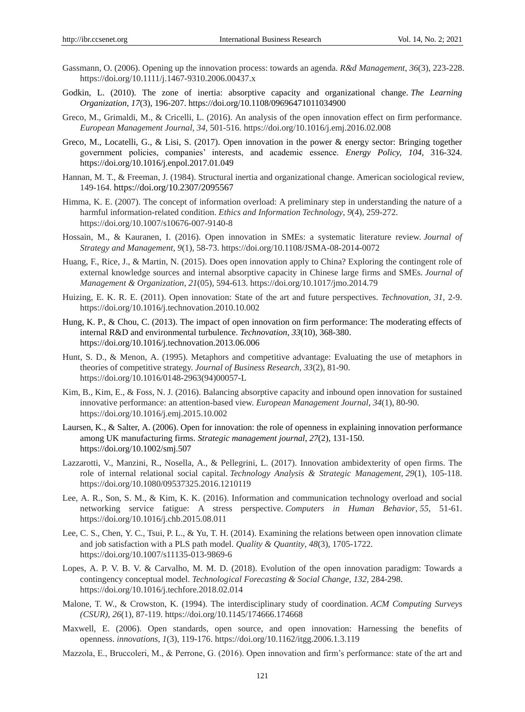- Gassmann, O. (2006). Opening up the innovation process: towards an agenda. *R&d Management*, *36*(3), 223-228. https://doi.org/10.1111/j.1467-9310.2006.00437.x
- Godkin, L. (2010). The zone of inertia: absorptive capacity and organizational change. *The Learning Organization*, *17*(3), 196-207. https://doi.org/10.1108/09696471011034900
- Greco, M., Grimaldi, M., & Cricelli, L. (2016). An analysis of the open innovation effect on firm performance. *European Management Journal*, *34,* 501-516. https://doi.org/10.1016/j.emj.2016.02.008
- Greco, M., Locatelli, G., & Lisi, S. (2017). Open innovation in the power & energy sector: Bringing together government policies, companies' interests, and academic essence. *Energy Policy, 104,* 316-324. https://doi.org/10.1016/j.enpol.2017.01.049
- Hannan, M. T., & Freeman, J. (1984). Structural inertia and organizational change. American sociological review, 149-164. https://doi.org/10.2307/2095567
- Himma, K. E. (2007). The concept of information overload: A preliminary step in understanding the nature of a harmful information-related condition. *Ethics and Information Technology*, *9*(4), 259-272. https://doi.org/10.1007/s10676-007-9140-8
- Hossain, M., & Kauranen, I. (2016). Open innovation in SMEs: a systematic literature review. *Journal of Strategy and Management*, *9*(1), 58-73. https://doi.org/10.1108/JSMA-08-2014-0072
- Huang, F., Rice, J., & Martin, N. (2015). Does open innovation apply to China? Exploring the contingent role of external knowledge sources and internal absorptive capacity in Chinese large firms and SMEs. *Journal of Management & Organization*, *21*(05), 594-613. https://doi.org/10.1017/jmo.2014.79
- Huizing, E. K. R. E. (2011). Open innovation: State of the art and future perspectives. *Technovation, 31,* 2-9. https://doi.org/10.1016/j.technovation.2010.10.002
- Hung, K. P., & Chou, C. (2013). The impact of open innovation on firm performance: The moderating effects of internal R&D and environmental turbulence. *Technovation*, *33*(10), 368-380. https://doi.org/10.1016/j.technovation.2013.06.006
- Hunt, S. D., & Menon, A. (1995). Metaphors and competitive advantage: Evaluating the use of metaphors in theories of competitive strategy. *Journal of Business Research*, *33*(2), 81-90. https://doi.org/10.1016/0148-2963(94)00057-L
- Kim, B., Kim, E., & Foss, N. J. (2016). Balancing absorptive capacity and inbound open innovation for sustained innovative performance: an attention-based view. *European Management Journal*, *34*(1), 80-90. https://doi.org/10.1016/j.emj.2015.10.002
- Laursen, K., & Salter, A. (2006). Open for innovation: the role of openness in explaining innovation performance among UK manufacturing firms. *Strategic management journal*, *27*(2), 131-150. https://doi.org/10.1002/smj.507
- Lazzarotti, V., Manzini, R., Nosella, A., & Pellegrini, L. (2017). Innovation ambidexterity of open firms. The role of internal relational social capital. *Technology Analysis & Strategic Management*, *29*(1), 105-118. https://doi.org/10.1080/09537325.2016.1210119
- Lee, A. R., Son, S. M., & Kim, K. K. (2016). Information and communication technology overload and social networking service fatigue: A stress perspective. *Computers in Human Behavior*, *55*, 51-61. https://doi.org/10.1016/j.chb.2015.08.011
- Lee, C. S., Chen, Y. C., Tsui, P. L., & Yu, T. H. (2014). Examining the relations between open innovation climate and job satisfaction with a PLS path model. *Quality & Quantity*, *48*(3), 1705-1722. https://doi.org/10.1007/s11135-013-9869-6
- Lopes, A. P. V. B. V. & Carvalho, M. M. D. (2018). Evolution of the open innovation paradigm: Towards a contingency conceptual model. *Technological Forecasting & Social Change, 132,* 284-298. https://doi.org/10.1016/j.techfore.2018.02.014
- Malone, T. W., & Crowston, K. (1994). The interdisciplinary study of coordination. *ACM Computing Surveys (CSUR)*, *26*(1), 87-119. https://doi.org/10.1145/174666.174668
- Maxwell, E. (2006). Open standards, open source, and open innovation: Harnessing the benefits of openness. *innovations*, *1*(3), 119-176. https://doi.org/10.1162/itgg.2006.1.3.119
- Mazzola, E., Bruccoleri, M., & Perrone, G. (2016). Open innovation and firm's performance: state of the art and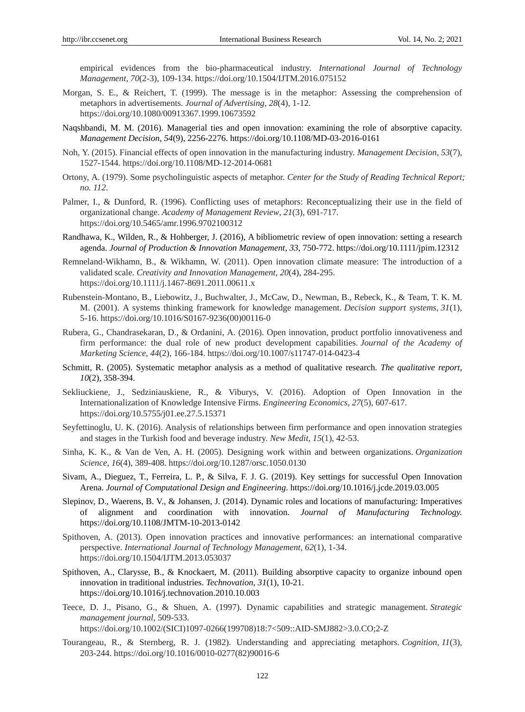empirical evidences from the bio-pharmaceutical industry. *International Journal of Technology Management*, *70*(2-3), 109-134. https://doi.org/10.1504/IJTM.2016.075152

- Morgan, S. E., & Reichert, T. (1999). The message is in the metaphor: Assessing the comprehension of metaphors in advertisements. *Journal of Advertising*, *28*(4), 1-12. https://doi.org/10.1080/00913367.1999.10673592
- Naqshbandi, M. M. (2016). Managerial ties and open innovation: examining the role of absorptive capacity. *Management Decision*, *54*(9), 2256-2276. https://doi.org/10.1108/MD-03-2016-0161
- Noh, Y. (2015). Financial effects of open innovation in the manufacturing industry. *Management Decision*, *53*(7), 1527-1544. https://doi.org/10.1108/MD-12-2014-0681
- Ortony, A. (1979). Some psycholinguistic aspects of metaphor. *Center for the Study of Reading Technical Report; no. 112*.
- Palmer, I., & Dunford, R. (1996). Conflicting uses of metaphors: Reconceptualizing their use in the field of organizational change. *Academy of Management Review*, *21*(3), 691-717. https://doi.org/10.5465/amr.1996.9702100312
- Randhawa, K., Wilden, R., & Hohberger, J. (2016), A bibliometric review of open innovation: setting a research agenda. *Journal of Production & Innovation Management, 33,* 750-772. https://doi.org/10.1111/jpim.12312
- Remneland‐Wikhamn, B., & Wikhamn, W. (2011). Open innovation climate measure: The introduction of a validated scale. *Creativity and Innovation Management*, *20*(4), 284-295. https://doi.org/10.1111/j.1467-8691.2011.00611.x
- Rubenstein-Montano, B., Liebowitz, J., Buchwalter, J., McCaw, D., Newman, B., Rebeck, K., & Team, T. K. M. M. (2001). A systems thinking framework for knowledge management. *Decision support systems*, *31*(1), 5-16. https://doi.org/10.1016/S0167-9236(00)00116-0
- Rubera, G., Chandrasekaran, D., & Ordanini, A. (2016). Open innovation, product portfolio innovativeness and firm performance: the dual role of new product development capabilities. *Journal of the Academy of Marketing Science*, *44*(2), 166-184. https://doi.org/10.1007/s11747-014-0423-4
- Schmitt, R. (2005). Systematic metaphor analysis as a method of qualitative research. *The qualitative report*, *10*(2), 358-394.
- Sekliuckiene, J., Sedziniauskiene, R., & Viburys, V. (2016). Adoption of Open Innovation in the Internationalization of Knowledge Intensive Firms. *Engineering Economics*, *27*(5), 607-617. https://doi.org/10.5755/j01.ee.27.5.15371
- Seyfettinoglu, U. K. (2016). Analysis of relationships between firm performance and open innovation strategies and stages in the Turkish food and beverage industry. *New Medit*, *15*(1), 42-53.
- Sinha, K. K., & Van de Ven, A. H. (2005). Designing work within and between organizations. *Organization Science*, *16*(4), 389-408. https://doi.org/10.1287/orsc.1050.0130
- Sivam, A., Dieguez, T., Ferreira, L. P., & Silva, F. J. G. (2019). Key settings for successful Open Innovation Arena. *Journal of Computational Design and Engineering*. https://doi.org/10.1016/j.jcde.2019.03.005
- Slepinov, D., Waerens, B. V., & Johansen, J. (2014). Dynamic roles and locations of manufacturing: Imperatives of alignment and coordination with innovation. *Journal of Manufacturing Technology.* https://doi.org/10.1108/JMTM-10-2013-0142
- Spithoven, A. (2013). Open innovation practices and innovative performances: an international comparative perspective. *International Journal of Technology Management*, *62*(1), 1-34. https://doi.org/10.1504/IJTM.2013.053037
- Spithoven, A., Clarysse, B., & Knockaert, M. (2011). Building absorptive capacity to organize inbound open innovation in traditional industries. *Technovation*, *31*(1), 10-21. https://doi.org/10.1016/j.technovation.2010.10.003
- Teece, D. J., Pisano, G., & Shuen, A. (1997). Dynamic capabilities and strategic management. *Strategic management journal*, 509-533. https://doi.org/10.1002/(SICI)1097-0266(199708)18:7<509::AID-SMJ882>3.0.CO;2-Z
- Tourangeau, R., & Sternberg, R. J. (1982). Understanding and appreciating metaphors. *Cognition*, *11*(3), 203-244. https://doi.org/10.1016/0010-0277(82)90016-6